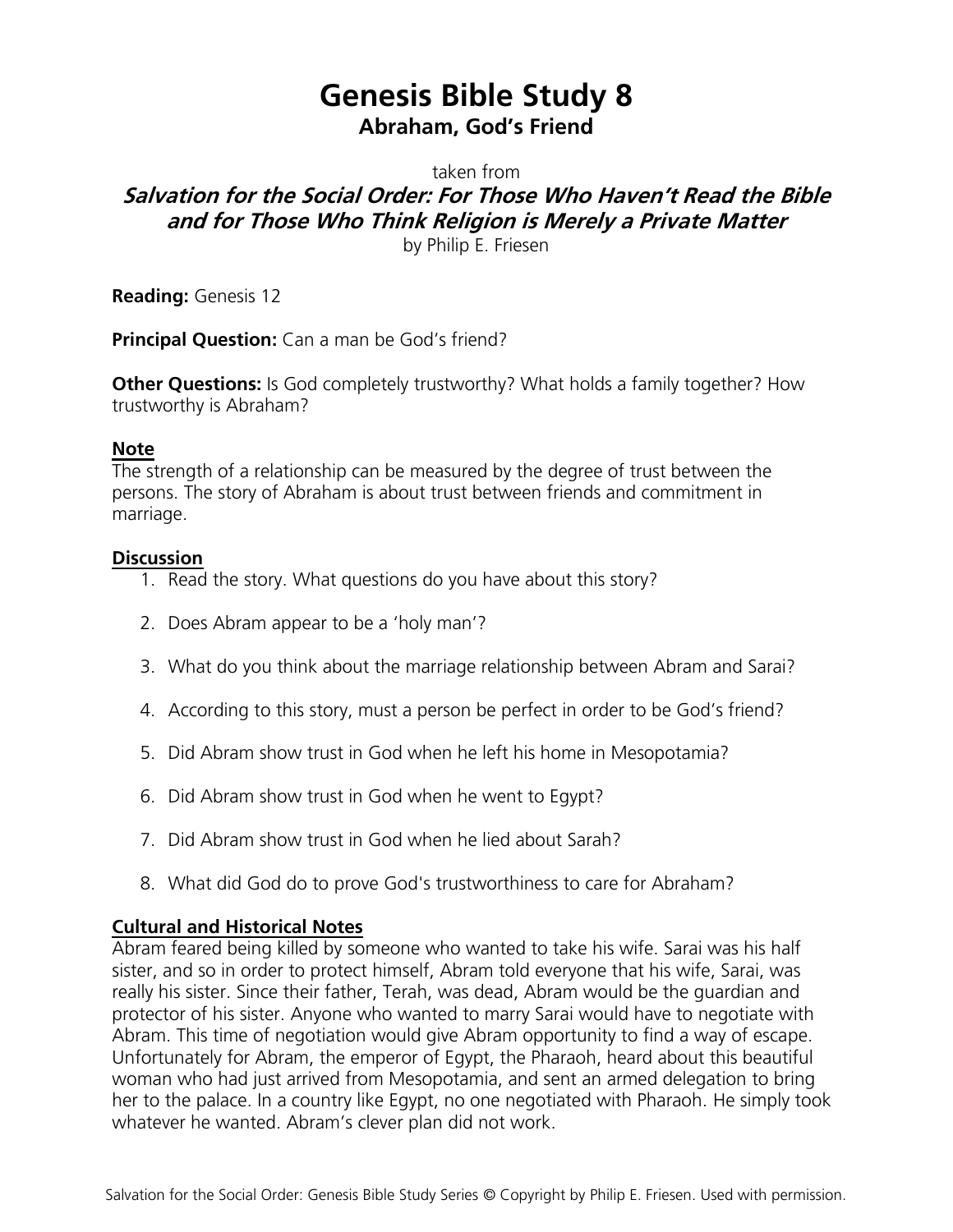# **Genesis Bible Study 8 Abraham, God's Friend**

taken from

## **Salvation for the Social Order: For Those Who Haven't Read the Bible and for Those Who Think Religion is Merely a Private Matter**

by Philip E. Friesen

**Reading:** Genesis 12

**Principal Question:** Can a man be God's friend?

**Other Questions:** Is God completely trustworthy? What holds a family together? How trustworthy is Abraham?

#### **Note**

The strength of a relationship can be measured by the degree of trust between the persons. The story of Abraham is about trust between friends and commitment in marriage.

#### **Discussion**

- 1. Read the story. What questions do you have about this story?
- 2. Does Abram appear to be a 'holy man'?
- 3. What do you think about the marriage relationship between Abram and Sarai?
- 4. According to this story, must a person be perfect in order to be God's friend?
- 5. Did Abram show trust in God when he left his home in Mesopotamia?
- 6. Did Abram show trust in God when he went to Egypt?
- 7. Did Abram show trust in God when he lied about Sarah?
- 8. What did God do to prove God's trustworthiness to care for Abraham?

#### **Cultural and Historical Notes**

Abram feared being killed by someone who wanted to take his wife. Sarai was his half sister, and so in order to protect himself, Abram told everyone that his wife, Sarai, was really his sister. Since their father, Terah, was dead, Abram would be the guardian and protector of his sister. Anyone who wanted to marry Sarai would have to negotiate with Abram. This time of negotiation would give Abram opportunity to find a way of escape. Unfortunately for Abram, the emperor of Egypt, the Pharaoh, heard about this beautiful woman who had just arrived from Mesopotamia, and sent an armed delegation to bring her to the palace. In a country like Egypt, no one negotiated with Pharaoh. He simply took whatever he wanted. Abram's clever plan did not work.